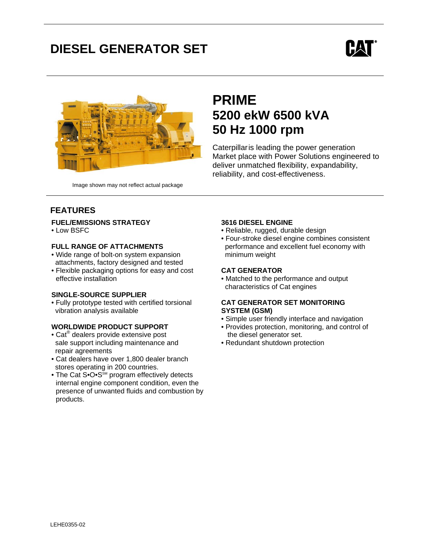# **DIESEL GENERATOR SET**





## **PRIME 5200 ekW 6500 kVA 50 Hz 1000 rpm**

Caterpillaris leading the power generation Market place with Power Solutions engineered to deliver unmatched flexibility, expandability, reliability, and cost-effectiveness.

Image shown may not reflect actual package

### **FEATURES**

### **FUEL/EMISSIONS STRATEGY**

• Low BSFC

### **FULL RANGE OF ATTACHMENTS**

- Wide range of bolt-on system expansion attachments, factory designed and tested
- Flexible packaging options for easy and cost effective installation

### **SINGLE-SOURCE SUPPLIER**

• Fully prototype tested with certified torsional vibration analysis available

### **WORLDWIDE PRODUCT SUPPORT**

- Cat<sup>®</sup> dealers provide extensive post sale support including maintenance and repair agreements
- Cat dealers have over 1,800 dealer branch stores operating in 200 countries.
- The Cat S• $O \cdot S^{\text{SM}}$  program effectively detects internal engine component condition, even the presence of unwanted fluids and combustion by products.

### **3616 DIESEL ENGINE**

- Reliable, rugged, durable design
- Four-stroke diesel engine combines consistent performance and excellent fuel economy with minimum weight

### **CAT GENERATOR**

• Matched to the performance and output characteristics of Cat engines

#### **CAT GENERATOR SET MONITORING SYSTEM (GSM)**

- Simple user friendly interface and navigation
- Provides protection, monitoring, and control of the diesel generator set.
- Redundant shutdown protection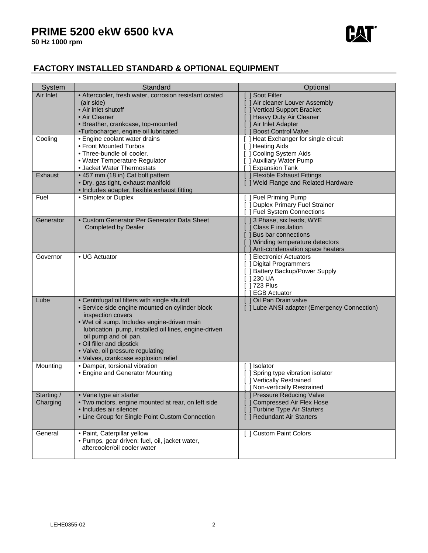

### **FACTORY INSTALLED STANDARD & OPTIONAL EQUIPMENT**

| System     | Standard                                                             | Optional                                            |
|------------|----------------------------------------------------------------------|-----------------------------------------------------|
| Air Inlet  | • Aftercooler, fresh water, corrosion resistant coated               | Soot Filter                                         |
|            | (air side)                                                           | [ ] Air cleaner Louver Assembly                     |
|            | • Air inlet shutoff                                                  | ] Vertical Support Bracket                          |
|            | • Air Cleaner                                                        | Heavy Duty Air Cleaner                              |
|            | · Breather, crankcase, top-mounted                                   | ] Air Inlet Adapter                                 |
|            | •Turbocharger, engine oil lubricated                                 | <b>Boost Control Valve</b>                          |
| Cooling    | • Engine coolant water drains                                        | [ ] Heat Exchanger for single circuit               |
|            | • Front Mounted Turbos<br>• Three-bundle oil cooler.                 | [ ] Heating Aids                                    |
|            | • Water Temperature Regulator                                        | [ ] Cooling System Aids<br>[ ] Auxiliary Water Pump |
|            | • Jacket Water Thermostats                                           | <b>Expansion Tank</b>                               |
| Exhaust    | • 457 mm (18 in) Cat bolt pattern                                    | [ ] Flexible Exhaust Fittings                       |
|            | · Dry, gas tight, exhaust manifold                                   | [ ] Weld Flange and Related Hardware                |
|            | • Includes adapter, flexible exhaust fitting                         |                                                     |
| Fuel       | • Simplex or Duplex                                                  | [ ] Fuel Priming Pump                               |
|            |                                                                      | [ ] Duplex Primary Fuel Strainer                    |
|            |                                                                      | <b>Fuel System Connections</b>                      |
| Generator  | • Custom Generator Per Generator Data Sheet                          | [ ] 3 Phase, six leads, WYE                         |
|            | <b>Completed by Dealer</b>                                           | <b>Class F insulation</b>                           |
|            |                                                                      | Bus bar connections                                 |
|            |                                                                      | [ ] Winding temperature detectors                   |
|            |                                                                      | Anti-condensation space heaters                     |
| Governor   | • UG Actuator                                                        | <b>I</b> Electronic/ Actuators                      |
|            |                                                                      | [ ] Digital Programmers                             |
|            |                                                                      | [ ] Battery Backup/Power Supply                     |
|            |                                                                      | [ 1230 UA                                           |
|            |                                                                      | 1723 Plus                                           |
|            |                                                                      | <b>EGB Actuator</b>                                 |
| Lube       | • Centrifugal oil filters with single shutoff                        | [ ] Oil Pan Drain valve                             |
|            | · Service side engine mounted on cylinder block<br>inspection covers | [ ] Lube ANSI adapter (Emergency Connection)        |
|            | · Wet oil sump. Includes engine-driven main                          |                                                     |
|            | lubrication pump, installed oil lines, engine-driven                 |                                                     |
|            | oil pump and oil pan.                                                |                                                     |
|            | • Oil filler and dipstick                                            |                                                     |
|            | · Valve, oil pressure regulating                                     |                                                     |
|            | · Valves, crankcase explosion relief                                 |                                                     |
| Mounting   | · Damper, torsional vibration                                        | ] Isolator                                          |
|            | • Engine and Generator Mounting                                      | ] Spring type vibration isolator                    |
|            |                                                                      | [ ] Vertically Restrained                           |
|            |                                                                      | Non-vertically Restrained                           |
| Starting / | • Vane type air starter                                              | Pressure Reducing Valve                             |
| Charging   | . Two motors, engine mounted at rear, on left side                   | ] Compressed Air Flex Hose                          |
|            | · Includes air silencer                                              | [] Turbine Type Air Starters                        |
|            | • Line Group for Single Point Custom Connection                      | [ ] Redundant Air Starters                          |
|            |                                                                      |                                                     |
| General    | · Paint, Caterpillar yellow                                          | [ ] Custom Paint Colors                             |
|            | · Pumps, gear driven: fuel, oil, jacket water,                       |                                                     |
|            | aftercooler/oil cooler water                                         |                                                     |
|            |                                                                      |                                                     |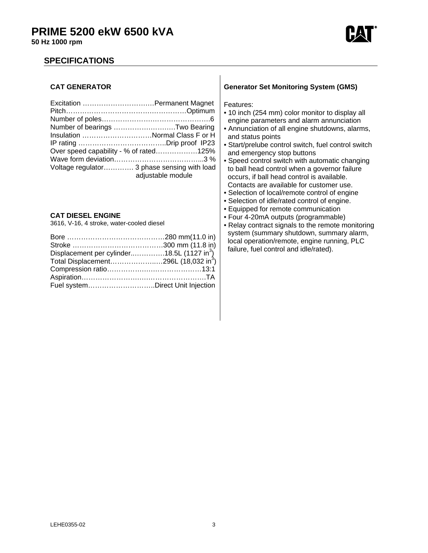

### **50 Hz 1000 rpm**

### **SPECIFICATIONS**

#### **CAT GENERATOR**

| Number of bearings Two Bearing              |                   |
|---------------------------------------------|-------------------|
| Insulation Normal Class F or H              |                   |
|                                             |                   |
| Over speed capability - % of rated125%      |                   |
|                                             |                   |
| Voltage regulator 3 phase sensing with load | adjustable module |

### **CAT DIESEL ENGINE**

3616, V-16, 4 stroke, water-cooled diesel

| Displacement per cylinder18.5L (1127 in <sup>3</sup> ) |  |
|--------------------------------------------------------|--|
| Total Displacement296L (18,032 in <sup>3</sup> )       |  |
|                                                        |  |
|                                                        |  |
| Fuel systemDirect Unit Injection                       |  |

#### **Generator Set Monitoring System (GMS)**

Features:

- 10 inch (254 mm) color monitor to display all engine parameters and alarm annunciation
- Annunciation of all engine shutdowns, alarms, and status points
- Start/prelube control switch, fuel control switch and emergency stop buttons
- Speed control switch with automatic changing to ball head control when a governor failure occurs, if ball head control is available. Contacts are available for customer use.
- Selection of local/remote control of engine
- Selection of idle/rated control of engine.
- Equipped for remote communication
- Four 4-20mA outputs (programmable)
- Relay contract signals to the remote monitoring system (summary shutdown, summary alarm, local operation/remote, engine running, PLC failure, fuel control and idle/rated).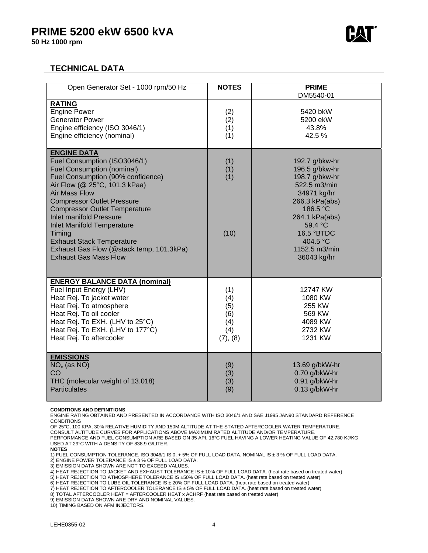

### **TECHNICAL DATA**

| Open Generator Set - 1000 rpm/50 Hz                                                                                                                                                                                                                                                                                                                                                                                                                                 | <b>NOTES</b>                                       | <b>PRIME</b><br>DM5540-01                                                                                                                                                                              |
|---------------------------------------------------------------------------------------------------------------------------------------------------------------------------------------------------------------------------------------------------------------------------------------------------------------------------------------------------------------------------------------------------------------------------------------------------------------------|----------------------------------------------------|--------------------------------------------------------------------------------------------------------------------------------------------------------------------------------------------------------|
| <b>RATING</b><br><b>Engine Power</b><br><b>Generator Power</b><br>Engine efficiency (ISO 3046/1)<br>Engine efficiency (nominal)                                                                                                                                                                                                                                                                                                                                     | (2)<br>(2)<br>(1)<br>(1)                           | 5420 bkW<br>5200 ekW<br>43.8%<br>42.5 %                                                                                                                                                                |
| <b>ENGINE DATA</b><br>Fuel Consumption (ISO3046/1)<br><b>Fuel Consumption (nominal)</b><br>Fuel Consumption (90% confidence)<br>Air Flow (@ 25°C, 101.3 kPaa)<br><b>Air Mass Flow</b><br><b>Compressor Outlet Pressure</b><br><b>Compressor Outlet Temperature</b><br><b>Inlet manifold Pressure</b><br><b>Inlet Manifold Temperature</b><br>Timing<br><b>Exhaust Stack Temperature</b><br>Exhaust Gas Flow (@stack temp, 101.3kPa)<br><b>Exhaust Gas Mass Flow</b> | (1)<br>(1)<br>(1)<br>(10)                          | 192.7 g/bkw-hr<br>196.5 g/bkw-hr<br>198.7 g/bkw-hr<br>522.5 m3/min<br>34971 kg/hr<br>266.3 kPa(abs)<br>186.5 °C<br>264.1 kPa(abs)<br>59.4 °C<br>16.5 °BTDC<br>404.5 °C<br>1152.5 m3/min<br>36043 kg/hr |
| <b>ENERGY BALANCE DATA (nominal)</b><br>Fuel Input Energy (LHV)<br>Heat Rej. To jacket water<br>Heat Rej. To atmosphere<br>Heat Rej. To oil cooler<br>Heat Rej. To EXH. (LHV to 25°C)<br>Heat Rej. To EXH. (LHV to 177°C)<br>Heat Rej. To aftercooler                                                                                                                                                                                                               | (1)<br>(4)<br>(5)<br>(6)<br>(4)<br>(4)<br>(7), (8) | 12747 KW<br>1080 KW<br>255 KW<br>569 KW<br>4089 KW<br>2732 KW<br>1231 KW                                                                                                                               |
| <b>EMISSIONS</b><br>$NOx$ (as NO)<br>CO<br>THC (molecular weight of 13.018)<br><b>Particulates</b>                                                                                                                                                                                                                                                                                                                                                                  | (9)<br>(3)<br>(3)<br>(9)                           | 13.69 g/bkW-hr<br>0.70 g/bkW-hr<br>0.91 g/bkW-hr<br>$0.13$ g/bkW-hr                                                                                                                                    |

#### **CONDITIONS AND DEFINITIONS**

ENGINE RATING OBTAINED AND PRESENTED IN ACCORDANCE WITH ISO 3046/1 AND SAE J1995 JAN90 STANDARD REFERENCE CONDITIONS

OF 25°C, 100 KPA, 30% RELATIVE HUMIDITY AND 150M ALTITUDE AT THE STATED AFTERCOOLER WATER TEMPERATURE. CONSULT ALTITUDE CURVES FOR APPLICATIONS ABOVE MAXIMUM RATED ALTITUDE AND/OR TEMPERATURE. PERFORMANCE AND FUEL CONSUMPTION ARE BASED ON 35 API, 16°C FUEL HAVING A LOWER HEATING VALUE OF 42.780 KJ/KG USED AT 29°C WITH A DENSITY OF 838.9 G/LITER.

1) FUEL CONSUMPTION TOLERANCE. ISO 3046/1 IS 0, + 5% OF FULL LOAD DATA. NOMINAL IS ± 3 % OF FULL LOAD DATA. 2) ENGINE POWER TOLERANCE IS ± 3 % OF FULL LOAD DATA.

3) EMISSION DATA SHOWN ARE NOT TO EXCEED VALUES.

4) HEAT REJECTION TO JACKET AND EXHAUST TOLERANCE IS ± 10% OF FULL LOAD DATA. (heat rate based on treated water)

5) HEAT REJECTION TO ATMOSPHERE TOLERANCE IS ±50% OF FULL LOAD DATA. (heat rate based on treated water)

6) HEAT REJECTION TO LUBE OIL TOLERANCE IS ± 20% OF FULL LOAD DATA. (heat rate based on treated water)

7) HEAT REJECTION TO AFTERCOOLER TOLERANCE IS ± 5% OF FULL LOAD DATA. (heat rate based on treated water)

8) TOTAL AFTERCOOLER HEAT = AFTERCOOLER HEAT x ACHRF (heat rate based on treated water)

9) EMISSION DATA SHOWN ARE DRY AND NOMINAL VALUES.

10) TIMING BASED ON AFM INJECTORS.

**NOTES**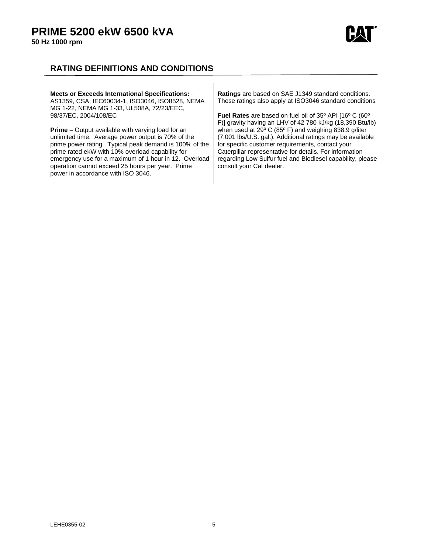

### **RATING DEFINITIONS AND CONDITIONS**

| Meets or Exceeds International Specifications: .<br>AS1359, CSA, IEC60034-1, ISO3046, ISO8528, NEMA<br>MG 1-22, NEMA MG 1-33, UL508A, 72/23/EEC, | Ratings are based on SAE J1349 standard conditions.<br>These ratings also apply at ISO3046 standard conditions |
|--------------------------------------------------------------------------------------------------------------------------------------------------|----------------------------------------------------------------------------------------------------------------|
| 98/37/EC, 2004/108/EC                                                                                                                            | <b>Fuel Rates</b> are based on fuel oil of 35° API [16° C (60°                                                 |
|                                                                                                                                                  | F)] gravity having an LHV of 42 780 kJ/kg (18,390 Btu/lb)                                                      |
| <b>Prime</b> – Output available with varying load for an                                                                                         | when used at 29° C (85° F) and weighing 838.9 g/liter                                                          |
| unlimited time. Average power output is 70% of the                                                                                               | (7.001 lbs/U.S. gal.). Additional ratings may be available                                                     |
| prime power rating. Typical peak demand is 100% of the                                                                                           | for specific customer requirements, contact your                                                               |
| prime rated ekW with 10% overload capability for                                                                                                 | Caterpillar representative for details. For information                                                        |
| emergency use for a maximum of 1 hour in 12. Overload                                                                                            | regarding Low Sulfur fuel and Biodiesel capability, please                                                     |
| operation cannot exceed 25 hours per year. Prime                                                                                                 | consult your Cat dealer.                                                                                       |
| power in accordance with ISO 3046.                                                                                                               |                                                                                                                |